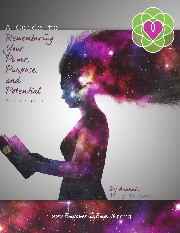# A Guide to

Remembering Your<br>Power, Purpose, and Potential

As an Empath

By Anahata Holly Hallowell

WWW. Empowering Emparths. Org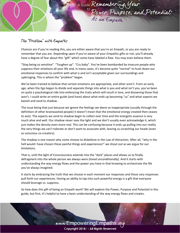

### The "Problem" with Empaths

Chances are if you're reading this, you are either aware that you're an Empath, or you are ready to remember that you are. Depending upon if you're aware of your Empathic gifts or not, you'll already have a degree of fear about this "gift" which some have labeled a flaw. You may even believe them.

"Stop being so sensitive". "Toughen up". "Cry baby". You've been bombarded by insecure people who suppress their emotions all your life and, in many cases, it's become quite "normal" to hush down our emotional responses to confirm with what is and isn't acceptable given our surroundings and upbringing. This is where the "problem" began.

We've been trained to believe that certain emotions are appropriate, and other aren't. From an early age, when the Ego began to divide and separate things into what is you and what isn't you, you've been on quite a psychological ride into embracing the traits which will result in love, and disowning those that won't. I could write an entire guide (and have) about what ends up becoming "us" and what aspects we banish and send to shadow.

The issue being that just because we ignore the feelings we deem as inappropriate (usually through the definition of other brainwashed people) it doesn't mean that the emotional energy created then ceases to exist. The aspects we send to shadow begin to collect over time and the energetic essence is very much alive and well. Our shadow never sees the light and we don't usually even acknowledge it, which just makes the density even more real. This can be confusing because it ends up pulling into our reality the very things we can't tolerate or don't want to associate with, leaving us scratching our heads (even as conscious co-creators).

The shadow is one reason why some choose to disbelieve in the Law of Attraction. After all, "why in the hell would I have chosen these painful things and experiences!" we shout out as we argue for our limitations.

That is, until the light of Consciousness extends into the "dark" places and allows us to finally defragment into the whole person we always were (loved unconditionally). And it starts with understanding the way energy flows and the power you have in that knowing to orchestrate the life you've always imagined.

It starts by embracing the truth that we choose in each moment our responses and those vary responses pull forth our experiences. Having an ability to tap into such powerful energy is a gift that everyone should leverage vs. suppress.

So how does this gift of being an Empath work? We will explore the Power, Purpose and Potential in this guide, but first, it's helpful to have a basic understanding of the way energy flows and creates.

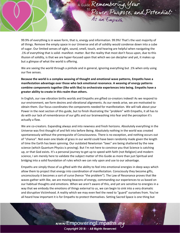

99.9% of everything is in wave form, that is, energy and information. 99.9%! That's the vast majority of all things. Remove the empty space in our Universe and all of solidity would condense down into a cube of sugar. Our limited senses of sight, sound, smell, touch, and hearing are helpful when navigating the .1% of everything that is solid- manifest- matter. But the reality that most don't focus upon, due to this illusion of solidity, is that we are hyper-focused upon that which we can decipher and yet, it makes up but a glimpse of what the world is offering.

We are seeing the world through a pinhole and in general, ignoring everything but .1% when only using our five senses.

**Because the world is a complex weaving of thought and emotional wave patterns, Empaths have a manifestation advantage over those who lack emotional resonance. A weaving of energy patterns combine components together (like with like) to orchestrate experiences into being. Empaths have a greater ability to create in this realm than others.**

In English, our raw vibration births worlds and Empaths are gifted co-creators indeed! As we respond to our environment, we form desires and vibrational alignments. As our needs arise, we are motivated to obtain them. Our focus coordinates the components needed for manifestation. We will talk about your Power in the next section of this guide, but to finish illustrating the "problem" with Empaths, it all has to do with our lack of remembrance of our gifts and our brainwashing into fear and the perception it's actually a flaw.

We are co-creators. Expanding always and into newness and fresh horizons. Absolutely everything in the Universe was first thought of and felt into before Being. Absolutely nothing in the world was created spontaneously without the prerequisite of Consciousness. There is no exception, and nothing occurs out of "chance". Not even one blade of grass in our world could have been randomly made given the length of time the Earth has been spinning. Our outdated Newtonian "laws" are being shattered by the new science (which Quantum Physics is proving). But I'm not here to convince you that Science is catching up, or that God exists. It's a personal journey to get up to speed with faith (not Religion) and modern science, I am merely here to validate the subject matter of this Guide as more than just Spiritual and bridging into a solid foundation of rules which we can rely upon and use to our advantage.

Empaths are simply those of us gifted with the ability to feel into emotional energies in deep ways which allow them to project that energy into coordination of manifestation. Consciously they become gifts, unconsciously it becomes a sort of curse (hence "the problem"). The Law of Resonance proves that like waves gather with like, we are moving beacons of energy, commanding our experiences to us based on our habitual thoughts and emotions. When we aren't aware of this, and yet are sensitive to energies in a way that we embody the emotions of things external to us, we can begin to sink into a very dramatic and disruptive Victimhood. A reality which we may even feel the need to "guard" ourselves from. You've all heard how important it is for Empaths to protect themselves. Setting Sacred Space is one thing but

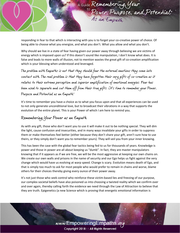

responding in fear to that which is interacting with you is to forget your co-creative power of choice. Of being able to choose what you energize, and what you don't. What you allow and what you don't.

Why should we live in a state of fear having given our power away through believing we are victims of energy which is imposed upon us? If this doesn't sound like manipulation, I don't know what does. It is false and leads to more walls of illusion, not to mention wastes the great gift of co-creation amplification which is your blessing when understood and leveraged.

The problem with Empaths is not that they should fear the external emotions they come into contact with. The real problem is that they have forgotten their very gifts of co-creation as it relates to their extreme perception and superior amplification of emotional energies. Fear has been used to separate and cut them off from their true gifts. It's time to remember your Power, Purpose and Potential as an Empath!

It's time to remember you have a choice as to what you focus upon and that all experiences can be used to not only generate unconditional love, but to broadcast their vibrations in a way that supports the evolution of the entire planet. This is your Power of which I am here to remind you.

# Remembering Your Power as an Empath

As with any gift, those who don't want you to use it will make it out to be nothing special. They will dim the light, cause confusion and insecurities, and in many ways invalidate your gifts in order to suppress them or make themselves feel better (either because they don't share your gift, aren't sure how to use theirs, or they simply don't want you to remember yours). They will veil you from your inner knowing.

This has been the case with the global fear tactics being fed to us for thousands of years. Knowledge is power and those in power are all about keeping us "dumb". In fact, they are master manipulators knowing that if it appears as if we are free, we will be the most aggressive at keeping our own chains on. We create our own walls and prisons in the name of security and our Ego helps us fight against the very change which would have us evolving at warp speed. Change is scary. Evolution means death of Ego, and that is simply too much to ask for most people who would prefer to remain in chains and worse, blame others for their choices thereby giving every ounce of their power away.

It's not just those who seek control who reinforce these victim-based lies and freezing of our purpose, our complex societal beliefs have also poisoned us into choosing a twisted reality which we confirm over and over again, thereby calling forth the evidence we need through the Law of Attraction to believe that they are truth. Epigenetics (a new Science which is proving that energetic emotional information is

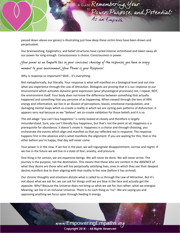

passed down above our genes) is illustrating just how deep these victim lines have been drawn and perpetuated.

Our brainwashing, Epigenetics, and belief structures have cycled intense victimhood and taken away all our power for long enough. Consciousness is choice. Consciousness is power.

Your power as an Empath lies in your conscious choosing of the responses you have in every moment to your environment. Your Power is your Response!

Why is response so important? Well... it's everything.

Not metaphorically, but literally. Your response is what will manifest on a biological level and out into what you experience through the Law of Attraction. Biologists are proving that it is our *response* to our environment which activates dynamic gene expression (your physiological processes) not, I repeat, NOT, the environment itself. Your body does not know the difference between something that actually happened and something that you perceive of as happening. When viewed through the lens of 99% energy and information, we live in an illusion of perceptions, biases, emotional manipulation, and damaging mental loops which co-create a reality in which we are cycling pain patterns of disfunction. It appears very real because as we "believe" we co-create validation for those beliefs and it is so.

The old adage "you can't buy happiness" is rarely looked at closely and therefore is largely misunderstood. Sure, you can't literally buy happiness, but that's not the point at all. Happiness is a prerequisite for abundance, it doesn't create it. Happiness is a choice and through choosing, you orchestrate the events which align and manifest as that joy reflected not in response. The response happens first in the absence and is what manifests the alignment. If you are waiting for this, that or the other before you're happy, that day will never come.

Your power is in the now. If we live in the past, we will regurgitate disappointment, sorrow and regret. If we live in the future we will live in a state of fear, anxiety, and pressure.

One thing is for certain, we are expansive beings. We will never be done. We will never arrive. The journey is the purpose, not the destination. This means that those who are content in the ABSENCE of what they desire are those who will live perpetually satisfying lives, ones in which they see their deepest desires manifest due to their aligning with that reality in the now (before it has arrived).

Our chronic thoughts and emotions dictate what is called to us through the Law of Attraction. But it's not about what we ask for, we can ask for things until we are blue in the face and actually get the opposite. Why? Because the Universe does not bring us what we ask for, but rather, what we energize. Meaning, we live in an inclusive Universe. There is no such thing as "no". We are saying yes and approving anything we focus upon through feeding it energy.

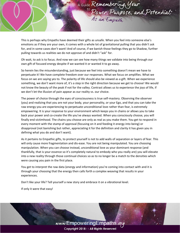

This is perhaps why Empaths have deemed their gifts as unsafe. When you feel into someone else's emotions as if they are your own, it comes with a whole lot of gravitational pulling that you didn't ask for, and in some cases don't want! And of course, if we banish those feelings they go to Shadow, further pulling towards us realities we do not approve of and didn't "ask" for.

Oh wait, to ask is to focus. And now we can see how many things we validate into being through our own gift of focused energy despite if we wanted it or wanted it to go away.

So herein lies the misunderstanding, just because we feel into something doesn't mean we have to perpetuate it! We have complete freedom over our responses. What we focus on amplifies. What we focus on we are saying yes to. The polarity of life should also be viewed as a gift. When we experience something, we don't want more of, it's a step in the right direction because we get to choose! We would not know the beauty of the peak if not for the valley. Contrast allows us to experience the joys of life, if we don't let the illusion of pain appear as our reality vs. our choice.

The power of choice through the eyes of consciousness is true self-mastery. Observing the observer (you) and realizing that you are not your body, your personality, or your Ego, and that you can take the raw energy you are experiencing to perpetuate unconditional love rather than fear, is extremely empowering. It is your response to your environment which keeps you in chains or allows you to take back your power and co-create the life you've always wanted. When you consciously choose, you will finally end victimhood. The chains you choose are only as real as you make them. You get to respond in every moment with the stamp of approval (focusing on it and feeding it energy into being) or disapproval (not banishing but rather, appreciating it for the definition and clarity it has given you in defining what you do and don't want).

As it pertains to Empathic gifts, to protect yourself is not to add walls of separation or layers of fear. This will only cause more fragmentation and dis-ease. You are not being manipulated. You are choosing manipulation. When you can choose instead, unconditional love as your dominant response (and thankfully, that is your essence so it's completely natural to embody who you really are) you will elevate into a new reality through those continual choices so as to no longer be a match to the densities which were causing you pain in the first place.

You get to interpret the raw data (energy and information) you're coming into contact with and it is through your choosing that the energy then calls forth a complex weaving that results in your experiences.

Don't like your life? Tell yourself a new story and embrace it on a vibrational level.

If only it were that easy!

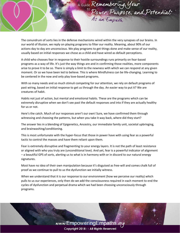

The conundrum of sorts lies in the defense mechanisms wired within the very synapses of our brains. In our world of illusion, we reply on playing programs to filter our reality. Meaning, about 90% of our actions day to day are unconscious. We play programs to get things done and make sense of our reality, usually based on initial responses we chose as a child and have wired as default perceptions.

A child who chooses fear in response to their hostile surroundings runs primarily on fear-based programs as a way of life. It's just the way things are and in confirming those realities, more components arise to prove it to be so. There is simply a limit to the newness with which we can respond at any given moment. Or so we have been led to believe. This is where Mindfulness can be life-changing. Learning to be centered in the now and only play love-based programs.

With so many needs and so much stimuli competing for our attention, we rely on default programs of past wiring, based on initial response to get us through the day. An easier way to put it? We are creatures of habit.

Habits not just of action, but mental and emotional habits. These are the programs which can be extremely disruptive when we don't see past the default responses and into if they are actually healthy for us or not.

Here's the catch. Much of our responses aren't our own! Sure, we have confirmed them through witnessing and choosing the patterns, but when you take it way back, where did they start?

The answer lies in a blending of Epigenetics, Ancestry, our immediate family unit, societal upbringing, and brainwashing/conditioning.

This is most unfortunate with the hyper-focus that those in power have with using fear as a powerful tactic to control the masses and have them reliant upon them.

Fear is extremely disruptive and fragmenting to your energy layers. It is not the path of least resistance or aligned with who you truly are (unconditional love). And yet, fear is a powerful indicator of alignment – a beautiful GPS of sorts, alerting us to what is in harmony with or in discord to our natural energy signatures.

Most have no idea of their own manipulation because it's disguised as free-will and comes chalk full of proof as we continue to pull to us the dysfunction we initially witness.

When we understand that it is our response to our environment (how we perceive our reality) which pulls to us our experiences, only then do we add the consciousness required in each moment to end the cycles of dysfunction and perpetual drama which we had been choosing unconsciously through programs.

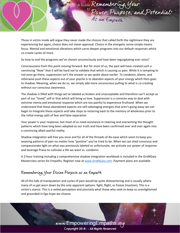

Those in victim mode will argue they never made the choices that called forth the nightmare they are experiencing but again, choice does not mean approval. Choice in the energetic sense simply means focus. Mental and emotional vibrations which carve deeper programs into our default responses which co-create cycles of more.

So how to end the programs we've chosen unconsciously and have been regurgitating ever since?

Consciousness from this point moving forward. But for most of us, the past will have created such a convincing "Now" that it will be hard not to validate that which is causing us pain. While it is tempting to not even go there, suppression isn't the answer as we spoke about earlier. To condemn, blame, and otherwise push these aspects out of your psyche is to abandon aspects of your energy which then goes to shadow. Meaning, when we do so, we simply add more unconscious pulling to what is co-creating without our conscious awareness.

The shadow is filled with things we've labeled as broken and unacceptable and therefore can't accept as part of our "loved" self or that which will bring us love. Suppression is a common way to deal with extreme menta and emotional response which are too painful to experience firsthand. When we understand that these abandoned aspects are self-sabotaging energies that aren't going away we can begin to integrate these aspects and take steps to restoring back to the memory of wholeness prior to the initial energy split of fear and false separation.

Your power is your response, but most of us need assistance in rewiring and overwriting the thought patterns which have long been adopted as our truth and have been confirmed over and over again into a convincing albeit painful reality.

Shadow integration will free you once and for all of the threads of dis-ease which seem to keep you weaving patterns of pain no matter how "positive" you've tried to be. When we can shed conscious and compassionate light on what was previously labeled as unfortunate, we activate our power of response and leverage Prana to cultivate a life we want vs. condemn.

A 2-hour training including a comprehensive shadow integration workbook is included in the Grid4Gaia Masterclass series for Empaths. Register now at [www.Grid4Gaia.com.](http://www.grid4gaia.com/) Payment plans are available.

## Remembering Your Divine Purpose as an Empath

All of this talk of manipulation and cycles of pain would be quite disheartening and is usually where many of us get worn down by the only apparent options: fight, flight, or freeze (inaction). This is a victim's stance. This is a veiled perception and precisely what those who seek to keep us unenlightened and grounded in Ego hope we choose.

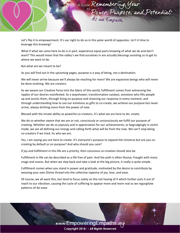

Let's flip it to empowerment. It's our right to do so in this polar world of opposites. Isn't it time to leverage this knowing?

What if what we came here to do is in part, experience equal parts knowing of what we do and don't want? This would mean that the valley's we find ourselves in are actually blessings assisting us to get to where we want to be.

But what are we meant to be?

As you will find out in the upcoming pages, purpose is a way of being, not a destination.

We will never arrive because we'll always be reaching for more! We are expansive beings who will never be done evolving. We are creators.

As we weave our Creative Force into the fabric of this world, fulfillment comes from witnessing the ripples of our desires manifested. As a wayshower, transformation catalyst, someone who lifts people up and assists them, through living on purpose and choosing our response in every moment, and through understanding how to use our emotions as gifts to co-create, we achieve our purpose but never arrive, always birthing more from the power of now.

Blessed with the innate ability as powerful co-creators, it's what we are here to do: create.

We do so whether aware that we are or not, consciously or unconsciously we fulfill our purpose of creating. Whether we do so joyously and in appreciation for our achievements, or begrudgingly in victim mode, we are all defining our energy and calling forth what will be from the now. We can't stop being co-creators if we tried. Its who we are.

Yes, I am saying you are here to create. It's everyone's purpose to expand the Universe but are you cocreating by default or on purpose? And why should you care?

If joy and fulfillment in this life are a priority, then conscious co-creation should also be.

Fulfillment in life can be described as a life free of pain. And the path is often illusive, fraught with many snags and snares. But when we step back and take a look at the big picture, it really is quite simple.

Fulfillment comes when you stand in power and gratitude, motivated by the desire to contribute by weaving your own Divine thread into the collective tapestry of joy, love, and ease.

Of course, we all want this, but tend to focus solely on the not having of it which further puts it out of reach to our vibration, causing the cycle of suffering to appear more and more real as we regurgitate patterns of dis-ease.

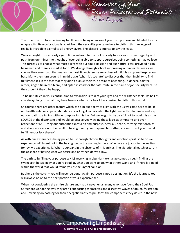

The other discord to experiencing fulfillment is being unaware of your own purpose and blinded to your unique gifts. Being vibrationally apart from the very gifts you came here to birth in this raw edge of reality is incredible painful to all energy layers. The discord is intense to say the least.

We are taught from an early age to fit ourselves into the mold society has for us in order to get by and push from our minds the thought of ever being able to support ourselves doing something that we love. This forces us to choose what most aligns with our soul's passion and our natural gifts, provided it can be named and there's a market for it. We drudge through school suppressing our inner desires as we choose the career path that makes the most financial sense regardless of it if fills us up and inspires our best. Many then turn around in middle-age "when it's too late" to discover that their inability to find fulfillment lies in the fact that they didn't pursue their true desire of becoming… a dancer, painter, writer, singer, fill-in-the-blank, and opted instead for the safe-route in the name of job security because they thought they'd be happy.

To be unfulfilled in your contribution to expansion is to dim your light and the resistance feels like hell as you always long for what may have been or what your heart truly desired to birth in this world.

Of course, there are other factors which can dim our ability to align with the us we came here to be. If our health, relationships or abundance is lacking it can also dim the light needed to illuminate and step out our path to aligning with our purpose in this life. But we've got to be careful not to label this as the SOURCE of the discontent and would be best served viewing these lacks as symptoms and even reflections of NOT living our authentic expression and purpose. After all, health, thriving relationships, and abundance are not the result of having found your purpose, but rather, are mirrors of your overall fulfillment or lack thereof.

As with our experiences being pulled to us through chronic thoughts and emotions past, so to do we experience fulfillment not in the having, but in the waiting to have. When we are joyous in the waiting for joy, we experience it. When abundant in the absence of it, it arrives. The vibrational match occurs in the absence of having what we desire and only then do we allow.

The path to fulfilling your purpose WHILE receiving in abundant exchange comes through finding the sweet spot between what you're good at, what you want to do, what others want, and if there is a need within the world that would frame you as the urgent solution.

But here's the catch – you will never be done! Again, purpose is not a destination, it's the journey. You will always be on to the next portion of your expansive self.

When not considering the entire picture and that it never ends, many who have found their Soul Path Career are wondering why they aren't supporting themselves and disruptive waves of doubt, frustration, and unworthy do nothing for their energetic clarity to pull forth the components they desire in the next

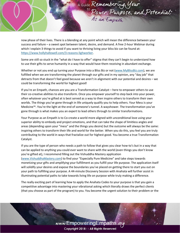

now phase of their lives. There is a blending at any point which will mean the difference between your success and failure – a sweet spot between talent, desire, and demand. A free 2-hour Webinar during which I explain 3 things to avoid if you want to thriving living your bliss biz can be found at: [https://www.hollyhallowell.com/3-reasons-lighworker.](https://www.hollyhallowell.com/3-reasons-lighworker)

Some are still so stuck in the "what do I have to offer" stigma that they can't begin to understand how to use their gifts to serve humanity in a way that would have them receiving in abundant exchange.

Whether or not you end up turning your Purpose into a Bliss Biz or not [\(www.MyBlissBiz.com\)](http://www.myblissbiz.com/), we are fulfilled when we are transforming the planet through our gifts and in my opinion, any "day job" that detracts from that doesn't feel good because we aren't in alignment with our potential and desires – we could be transforming the world for highest good!

If you're an Empath, chances are you are a Transformation Catalyst – here to empower others to use their co-creative abilities to also transform. Once you empower yourself to step back into your power, often whatever you're gifted at is best served as a way to then inspire others to transform their own worlds. The things you've gone through in life uniquely qualify you to help others. Your Mess is your Medicine™. You're the light at the end of someone's tunnel. A wayshower. The transformation you've gone through is what makes you an expert to lead others through to similar transformations.

Your Purpose as an Empath is to Co-create a world more aligned with unconditional love using your superior ability to embody and project emotions, and that can take the shape of limitless angles and areas (depending upon your "mess" and the things you desire) but the outcome will always be the same: inspiring others to transform their life and world for the better. When you do this, you feel you are truly contributing to the world in ways that fractalize out for highest good. You become a true Transformation Catalyst.

If you are the type of person who needs a path to follow that gives you clear how-to's but in a way that can be applied to anything you could ever want to share with the world (even things you don't know you're gifted at), I recommend filling out the Vishuddha Mastery application [\(www.VishuddhaMastery.com\)](http://www.vishuddhamastery.com/) to find your "Especially Pure Medicine" and take steps towards monetizing your gifts and amplifying your fulfillment as you fulfill your life purpose. The application itself will solidify your desires and expose the boundaries you've placed on getting there to start you out on your path to fulfilling your purpose. A 44-minute Discovery Session with Anahata will further assist in illuminating potential paths to take towards living life on purpose while truly making a difference.

The really exciting part of learning how to apply the Anahata Codes to your purpose is that you gain a competitive advantage into mastering your vibrational asking which literally draws the perfect clients (that you choose as part of the program) to you. You become the urgent solution to their problem or the

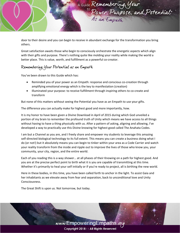

door to their desire and you can begin to receive in abundant exchange for the transformation you bring others.

Great satisfaction awaits those who begin to consciously orchestrate the energetic aspects which align with their gifts and purpose. There's nothing quite like molding your reality while making the world a better place. This is value, worth, and fulfillment as a powerful co-creator.

## Remembering Your Potential as an Empath

You've been drawn to this Guide which has:

- Reminded you of your power as an Empath: response and conscious co-creation through amplifying emotional energy which is the key to manifestation (creation)
- Illuminated your purpose: to receive fulfillment through inspiring others to co-create and transform

But none of this matters without seeing the Potential you have as an Empath to use your gifts.

The difference you can actually make for highest good and more importantly, how.

It is my honor to have been given a Divine Download in April of 2015 during which God unveiled a portion of my brain to remember the profound truth of Unity which means we have access to all things without having to have a thing physically with us. After a pattern of asking, aligning and allowing, I've developed a way to practically use this Divine knowing for highest good called The Anahata Codes.

I am but a Channel as you are, and I freely share and empower my students to leverage this amazing self-directed biological technology to its full extent. This means you can create a business doing what I do (or not!) but it absolutely means you can begin to tinker within your area as a Code Carrier and watch your reality transform from the inside and ripple out to improve the lives of those who know you, your community, your city, region, and the entire world.

Each of you reading this is a way shower… at all phases of their Knowing on a path for highest good. And you are at the precise perfect point to birth what it is you are capable of transmitting at this time. Whether it's primarily to heal your self initially or if you're ready to project, all is birthing the new world.

Here in these bodies, in this time, you have been called forth to anchor in the light. To assist Gaia and her inhabitants as we elevate away from fear and separation, back to unconditional love and Unity Consciousness.

The Great Shift is upon us. Not tomorrow, but today.

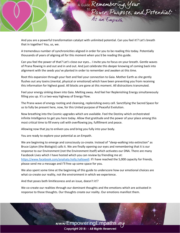

And you are a powerful transformation catalyst with unlimited potential. Can you feel it!? Let's breath that in together! You, us, we.

A tremendous number of synchronicities aligned in order for you to be reading this today. Potentially thousands of years of aligning all for this moment when you'd be reading this guide.

Can you feel the power of that? Let's close our eyes… I invite you to focus on your breath. Gentle waves of Prana flowing in and out and in and out. And just celebrate this deeper knowing of coming back into alignment with the seeds you've planted in order to remember and awaken at this time.

Root this expansion through your feet and feel your connection to Gaia. Mother Earth as she gently flushes out any toxins (mental, physical or emotional) which have been preventing you from receiving this information for highest good. All blocks are gone at this moment. All distractions transmuted.

Feel your energy sinking down into Gaia. Melting away. And feel her Replenishing Energy simultaneously filling you up. It's a two-way highway of Energy Flow.

The Prana wave of energy rooting and cleansing, replenishing every cell. Sanctifying the Sacred Space for us to fully be present here, now, for this United purpose of Peaceful Evolution.

Now breathing into the Cosmic upgrades which are available. Feel the Destiny which orchestrated infinite Intelligence to get you here today. Allow that gratitude and the power of your place among this most critical time to fill every cell with overflowing joy, fulfillment and peace.

Allowing now that joy to enliven you and bring you fully into your body.

You are ready to explore your potential as an Empath.

We are beginning to emerge and consciously co-create. Instead of "sleep-walking into extinction" as Bruce Lipton (the Biologist) calls it. We are finally opening our eyes and remembering that it is our response to our Environment (not the Environment itself) which activates our DNA. There are many Facebook Lives which I have hosted which you can review by friending me at: [https://www.facebook.com/anahata.holly.hallowell.](https://www.facebook.com/anahata.holly.hallowell) If I have reached the 5,000 capacity for friends, please send me a message and I'll free up some space for you.

We also spent some time at the beginning of this guide to underscore how our emotional choices are what co-create our reality, not the environment in which we experience.

And that poses both limitlessness and an issue, doesn't it!?

We co-create our realities through our dominant thoughts and the emotions which are activated in response to those thoughts. Our thoughts create our reality. Our emotions manifest them.

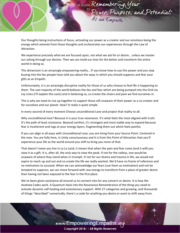

Our thoughts being instructions of focus, activating our power as a creator and our emotions being the energy which extends from those thoughts and orchestrates our experiences through the Law of Attraction.

We experience precisely what we are focused upon, not what we ask for or desire… unless we master our asking through our desires. Then we can mold our lives for the better and transform the entire world in doing so.

This dimension is an amazingly empowering reality… IF you know how to use this power and you stop buying into the lies people have told you about the ways in which you should suppress and fear your gifts as an Empath.

Unfortunately, it is an amazingly disruptive reality for those of us who choose to feel life is happening to them. The vast majority of the world believes the lies and fear which are being pumped into the Grid via Ley Lines (I'll explain this soon) and in believing so, co-create the chains and pain we find ourselves in.

This is why we need to rise up together to support those still unaware of their power as a co-creator and for ourselves and our planet. How? It really is quite simple.

In every second of every moment Choose unconditional Love and project that reality to all.

Why unconditional love? Because it is your true resonance. It's what feels the most aligned with truth. It's the path of least resistance. Beyond comfort, it's strongest and most stable way to expand because fear is incoherent and tugs at your energy layers, fragmenting them out which feels painful.

If you can align in all ways with Unconditional Love, you are living from your Source Point. Centered in the now. You are fully here, in Unity consciousness and it is from this Point of Attraction that you'll experience your life as the world around you shift to bring you more of that.

That doesn't mean you live in La La Land, it means that when the pain and fear come (and it will) you view it as a gift. It is, after all, the only way to view the peak. If not for the valleys, one would be unaware of where they stand when in triumph. If not for our drama and trauma in life, we would not aspire to reach up and out and co-create the life we really wanted. We'd have no frame of reference and no motivation to succeed. When we can acknowledge our fears (use them as motivation) and not be tempted to suppress, we can move forward with raw energy to transform from a place of greater desire than having not been exposed to the fear in the first place.

We've been given assistance all around us to connect into for any concern or desire. It is how the Anahata Codes work. A Quantum Hack into the Resonance Remembrance of the thing you need to activate dynamic self-healing and evolutionary support. With 27 categories and growing, and thousands of things "described" numerically, there's a code for anything you desire or want to shift away from.

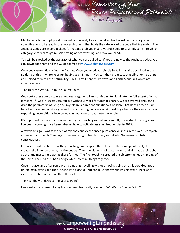

Mental, emotionally, physical, spiritual, you merely focus upon it and either Ask verbally or just with your vibration to be lead to the row and column that holds the category of the code that is a match. The Anahata Codes are in spreadsheet format and archived in 3 rows and 8 columns. Simply tune into which category (either through muscle-testing or heart testing) and row you need.

You will be shocked at the accuracy of what you are pulled to. If you are new to the Anahata Codes, you can download them and the Guide for free a[t www.AnahataCodes.com.](http://www.anahatacodes.com/)

Once you systematically find the Anahata Code you need, you simply install it (again, described in the guide), but this is where your fun begins as an Empath! You can then broadcast that vibration to others, and upload them via the natural Ley Lines, Earth Energies, Vortexes and Earth Meridians which are already set up.

"The Heal the World, Go to the Source Point."

God spoke these words to me a few years ago. And I am continuing to illuminate the full extent of what it means. If "God" triggers you, replace with your word for Creator Energy. We are evolved enough to drop the parameters of Religion. I myself am a non-denominational Christian. That doesn't mean I am here to convert or convince you and has no bearing on how we will work together for the same cause of expanding unconditional love by weaving our own threads into the whole.

It's important to share that Journey with you in writing so that you can fully understand the upgrades I've been receiving since Remembering how to activate assisting frequencies in 2015.

A few years ago, I was taken out of my body and experienced pure consciousness in the void… complete absence of any bodily "feelings" or senses of sight, touch, smell, sound, etc. No senses but total consciousness.

I then saw God create the Earth by touching empty space three times at the same point. First, He created the inner core, magma, fire energy. Then the elements of water, earth and air made their debut as the land masses and atmosphere formed. The final touch He created the electromagnetic mapping of the Earth. The Grid of subtle energy which holds all things together.

Once in place, and after some pretty amazing travelling without moving going on as Sacred Geometry unfolding in waves and then locking into place, a Cerulean Blue energy grid (visible wave lines) were clearly viewable by me, and then He spoke.

"To Heal the world, Go to the Source Point".

I was instantly returned to my body where I frantically cried out "What's the Source Point?".

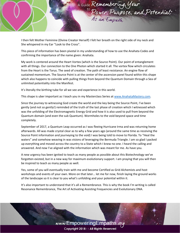

I then felt Mother Feminine (Divine Creator Herself) I felt her breath on the right side of my neck and She whispered in my Ear "Look to the Cross".

This piece of information has been pivotal in my understanding of how to use the Anahata Codes and confirming the importance of the name given: Anahata.

My work is centered around the Heart Vortex (which is the Source Point). Our point of entanglement with all things. Our connection to the One Photon which started it all. The vortex flow which circulates from the Heart is the Torus. The seed of creation. The path of least resistance. An engine flow of sustained momentum. The Source Point is at the center of the ascension panel found within this shape which also happens to coincide with pulling things from beyond the Quantum Domain through a Sea of unlimited potentiality into the Manifest.

It's literally the birthing tube for all we see and experience in this world.

This shape is uber important as I teach you in my Masterclass Series a[t www.AnahataMastery.com.](http://www.anahatamastery.com/)

Since the journey to witnessing God create the world and the key being the Source Point, I've been gently (and not so gently!) reminded of the truth of the last phase of creation which I witnessed which was the unfolding of the Electromagnetic Energy Grid and how it is also used to pull from beyond the Quantum domain (and even the sub Quantum). Wormholes to the void beyond space and time completely.

September of 2017, a Quantum Leap occurred as I was fleeing Hurricane Irma and was returning home afterwards. All was made crystal clear as to why a few years ago (around the same time as receiving the Source Point information and journeying to the void) I was being told to move to Florida. To "Heal the waters" and somehow weaving in was visions of leveraging the Bermuda Triangle. I am so glad I packed up everything and moved across the country to a State which I knew no one. I heard the calling and answered. And now I've aligned with the information which was meant for me. As have you.

A new urgency has been ignited to teach as many people as possible about this Biotechnology we've forgotten existed, but in a new way for maximum evolutionary support. I am praying that you will then be inspired to teach as many people as well.

Yes, some of you will eventually train with me and become Certified as Grid Alchemists and host workshops and events of your own. More on that later… let me for now, finish laying the ground works of the landscape so it is clear to you what's unfolding and your potential within it.

It's also important to understand that it's all a Remembrance. This is why the book I'm writing is called Resonance Remembrance, The Art of Activating Assisting Frequencies and Evolutionary DNA.

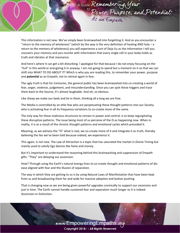

This information is not new. We've simply been brainwashed into forgetting it. And as you encounter a "return to the memory of wholeness" (which by the way is the very definition of healing AND holy  $-$  a return to the memory of wholeness) you will experience a sort of Deja Vu as the information I tell you uncovers your memory and you reunite with information that every single cell in your body holds as truth and vibrates at that resonance.

And here's where it can get a bit disturbing. I apologize for that because I do not enjoy focusing on the "Evil" in this world or energizing it in anyway. I am not going to spend but a moment on it so that we can shift into WHAT TO DO ABOUT IT! Which is why you are reading this, to remember your power, purpose and **potential** as an Empath, not to retreat again in fear.

The ugly truth is that for Centuries, the general public has been brainwashed into co-creating a world of fear, anger, violence, judgement, and misunderstanding. Once you can spot these triggers and trace them back to the Source, it's almost laughable. And oh, so obvious.

Like sheep we make our beds and lie in them, thinking all a long we are free.

The Media is controlled by an elite few who are perpetuating these thought patterns into our Society who is activating fear in all its frequency variations to co-create more of the same.

The only way for these malicious structures to remain in power and control, is to keep regurgitating these disruptive patterns. The issue being most of us perceive of the IS as happening now. When in reality, it is as a result of the chronic thought patterns and emotional cycles which preceded it.

Meaning, as we witness the "IS" what is real, we co-create more of it and integrate it as truth, thereby believing the lies we've been told because indeed, we experience it.

This again, is not new. The Law of Attraction is a topic that has saturated the market in Divine Timing but mainly used to satisfy Ego desires like fame and money.

But it's important to understand the reasoning behind this brainwashing and suppression of Empath gifts. "They" are delaying our ascension.

How? Through using the Earth's natural energy lines to co-create thought and emotional patterns of disease aligned with fear and the illusion of separation.

The way in which they are getting to us is by using Natural Laws of Manifestation that have been kept from us and broadcasting them far and wide for massive adoption and button pushing.

That is changing now as we are being given powerful upgrades cosmically to support our ascension and just in time. The Earth cannot handle sustained fear and separation much longer so it is indeed Ascension or Extinction.

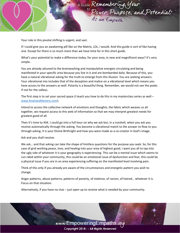

Your role in this pivotal shifting is urgent, and vast.

If I could give you an awakening pill like on the Matrix, LOL, I would. And this guide is sort of like having one. Except for there is so much more than we have time for in this short guide.

What's your potential to make a difference today, for your area, in new and magnificent ways? It's very simple.

You are already attuned to the brainwashing and manipulative energies circulating and being manifested in your specific area because you live in it and are bombarded daily. Because of this, you have a natural vibrational asking for the truth to emerge from this illusion. You are seeking answers. Your vibrational mix includes that of the deception and malice on a vibrational level which means you have access to the answers as well. Polarity is a beautiful thing. Remember, we would not see the peaks if not for the valleys.

The first step is to set your sacred space (I teach you how to do this in my masterclass series as well  $$ [www.AnahataMastery.com\)](http://www.anahatamastery.com/).

Intend to access the collective network of emotions and thoughts, the fabric which weaves us all together, we request access to this web of information so that we may interpret greatest needs for greatest good of all.

Then it's time to ASK. I could go into a full hour on why we ask but, in a nutshell, when you ask you receive automatically through the asking. You become a vibrational match to the answer to flow to you through asking. It is your Divine Birthright and how you were made as a co-creator in God's image.

Ask and you shall receive.

We ask… and that asking can take the shape of limitless questions for the purpose you seek. So, for this case of grid working peace, love, and healing into your area of highest good, I want you all to tap into the ugly side of whatever it is your geography is experiencing. This can be a mental issue which seems to run rabid within your community, this could be an emotional issue of dysfunction and fear, this could be a physical issue if you are in an area experiencing suffering on the manifested level involving pain.

Think of this only if you already are aware of the circumstances and energetic pattern you wish to change.

Anger patterns, abuse patterns, patterns of poverty, of violence, of racism, of hatred… whatever it is. Focus on that situation.

Alternatively, if you have no clue – just open up to receive what is needed by your community.

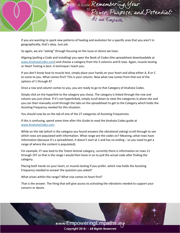

If you are wanting to spark new patterns of healing and evolution for a specific area that you aren't in geographically, that's okay. Just ask.

So again, we are "asking" through focusing on the issue or desire we have.

Aligning (pulling a Code and installing) you open the Book of Codes (the spreadsheet downloadable at [www.AnahataCodes.com\)](http://www.anahatacodes.com/) and choose a category from the 3 columns and 8 rows. Again, muscle-testing or Heart Testing is best. A technique I teach you.

If you don't know how to muscle test, simply place your hands on your heart and allow either A, B or C to come to you. What comes first? This is your column. Now what row comes from that out of the options of 1 through 8?

Once a row and column comes to you, you are ready to go to that Category of Anahata Codes.

Simply click on the hyperlink to the category you chose. The category is linked through the row and column you just chose. If it's not hyperlinked, simply scroll down to view the categories in plane site and you can then manually scroll through the tabs on the spreadsheet to get to the Category which holds the Assisting Frequency needed for this situation.

You should now be on the tab of one of the 27 categories of Assisting Frequencies.

If this is confusing, spend some time after this Guide to read the Anahata Codes guide at [www.AnahataCodes.com.](http://www.anahatacodes.com/)

While on the tab (which is the category you found answers the vibrational asking) scroll through to see which rows are populated with information. What range are the codes on? Meaning, what rows have information (because it's a spreadsheet, it doesn't start at 1 and has no ending – so you need to get a range of where the content is populated).

For example, if I was lead to the Totem Animal category, currently there is information on rows 11 through 197 so that is the range I would then hone in on to pull the actual code after finding the category.

Placing both hands on your heart, or muscle-testing if you prefer, which row holds the Assisting Frequency needed to answer the question you asked?

What arises within the range? What row comes to heart first?

That is the answer. The thing that will give access to activating the vibrations needed to support your concern or desire.

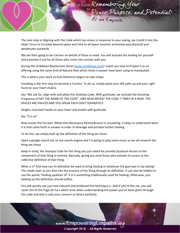

The next step in Aligning with the Code which has arisen in response to your asking, we install it into the Heart Torus to circulate beyond space and time to all layers (mental, emotional and physical) and perpetuate outwards.

We are then going to be Carriers on behalf of those in need. You will activate the healing for yourself and emanate it out for all those who come into contact with you.

During the Grid4Gaia Masterclass Series [\(www.Grid4Gaia.com\)](http://www.grid4gaia.com/) I teach you how to Project it as an offering using the same Grid of Natural flow which those in power have been using to manipulate.

This is where your work as Grid Alchemist begins to take shape.

Installing is the first step (to become a Carrier). To do so, simply place your left palm up and your right hand on your heart chakra.

Say "We ask for, align with and allow this Anahata Code. With gratitude, we activate the Assisting Frequency of SAY THE NAME OF THE CODE". AND NOW REPEAT THE CODE 7 TIMES IN A ROW. THE SPACES ARE PAUCES AND YOU SPEAK EACH DIGIT SEPARATELY.

Alright, now both hands on your heart and breath with gratitude.

Say "It is so".

Now comes the fun part. While that Resonance Remembrance is circulating, it helps to understand what it is that came forth in answer in order to leverage and activate further healing.

To do this, we simply look up the definition of the thing we chose.

Open a google search bar or any search engine and I'm going to play some music as we all research the thing we chose.

Keep in mind, the Anahata Code for the thing you just asked for provide Quantum Access to the component of that thing in entirely. Basically, giving you (and those who activate it) access to the collective definition of that thing.

What is it? And how can its definition be used to bring healing to whatever the goal was in my asking? This made clear as you dive into the essence of the thing through its definition. It can also be helpful to use the words "healing qualities of" if it is something traditionally used for healing. Otherwise, just looking up the definition should suffice.

You will quickly see just how relevant and profound this technique is. And if you're like me, you will never tire of the huge ah-ha's which arise when understanding the power you've been given through the code and why it suits your concern or desire perfectly.

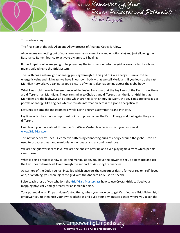

Truly astonishing.

The final step of the Ask, Align and Allow process of Anahata Codes is Allow.

Allowing means getting out of your own way (usually mentally and emotionally) and just allowing the Resonance Remembrance to activate dynamic self-healing.

But as Empaths who are going to be projecting the information onto the grid, allowance to the whole, means uploading to the Grid System.

The Earth has a natural grid of energy pulsing through it. This grid of Gaia energy is similar to the energetic veins and highways we have in our own body – that we call Meridians. If you look up the vast Meridian network, you can get a good picture of what is also happening across the globe body.

What I was told through Remembrance while fleeing Irma was that the Ley Lines of the Earth: now these are different than Meridians. These are similar to Chakras and different than the Earth Grid. In that Meridians are the highways and Veins which are the Earth Energy Network, the Ley Lines are vortexes or portals of energy. Like engines which circulate information across the globe energetically.

Ley Lines are straight and geometric while Earth Energy is asymmetric and intricate.

Ley lines often touch upon important points of power along the Earth Energy grid, but again, they are different.

I will teach you more about this in the Grid4Gaia Masterclass Series which you can join at [www.Grid4Gaia.com.](http://www.grid4gaia.com/)

This network of Ley Lines – Geometric patterning connecting hubs of energy around the globe – can be used to broadcast fear and manipulation, or peace and unconditional love.

We are the grid workers of love. We are the ones to offer up and even playing field from which people can choose.

What is being broadcast now is lies and manipulation. You have the power to set up a new grid and use the Ley Lines to broadcast love through the support of Assisting Frequencies.

As Carriers of the Code you just installed which answers the concern or desire for your region, self, loved one, or anything, you then inject the grid with the Anahata Code (so-to-speak).

I also teach those of you who join the [Grid4Gaia Masterclass](http://www.grid4gaia.com/) how to use Crystal Grids to Seed your mapping physically and get ready for an incredible ride.

Your potential as an Empath doesn't stop there, when you move on to get Certified as a Grid Alchemist, I empower you to then host your own workshops and build your own masterclasses where you teach the